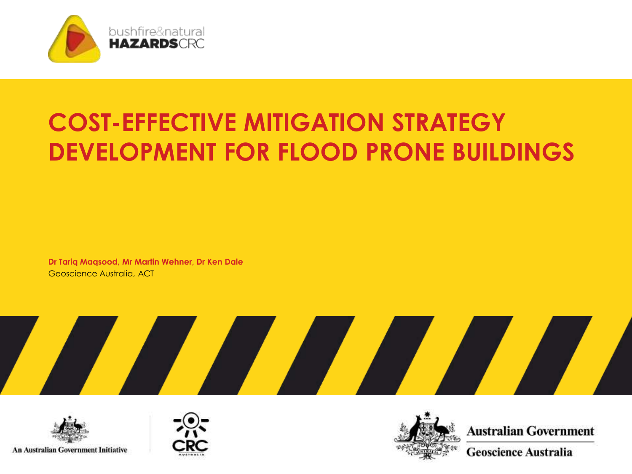

## **COST-EFFECTIVE MITIGATION STRATEGY DEVELOPMENT FOR FLOOD PRONE BUILDINGS**

**Dr Tariq Maqsood, Mr Martin Wehner, Dr Ken Dale** Geoscience Australia, ACT









**Australian Government** 

**Geoscience Australia**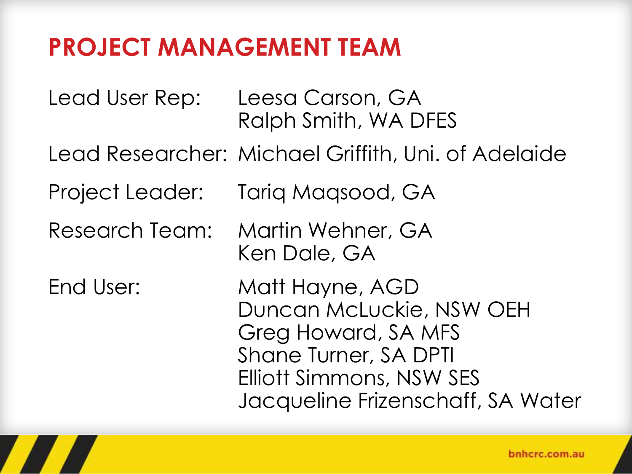#### **PROJECT MANAGEMENT TEAM**

Lead User Rep: Leesa Carson, GA Ralph Smith, WA DFES Lead Researcher: Michael Griffith, Uni. of Adelaide Project Leader: Tariq Maqsood, GA Research Team: Martin Wehner, GA Ken Dale, GA End User: Matt Hayne, AGD Duncan McLuckie, NSW OEH Greg Howard, SA MFS Shane Turner, SA DPTI Elliott Simmons, NSW SES Jacqueline Frizenschaff, SA Water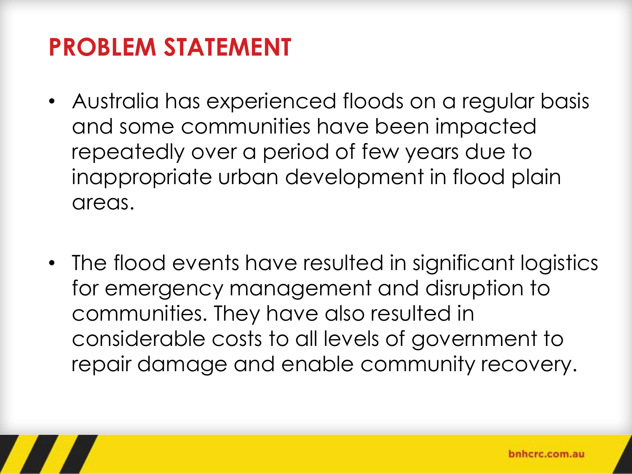#### **PROBLEM STATEMENT**

- Australia has experienced floods on a regular basis and some communities have been impacted repeatedly over a period of few years due to inappropriate urban development in flood plain areas.
- The flood events have resulted in significant logistics for emergency management and disruption to communities. They have also resulted in considerable costs to all levels of government to repair damage and enable community recovery.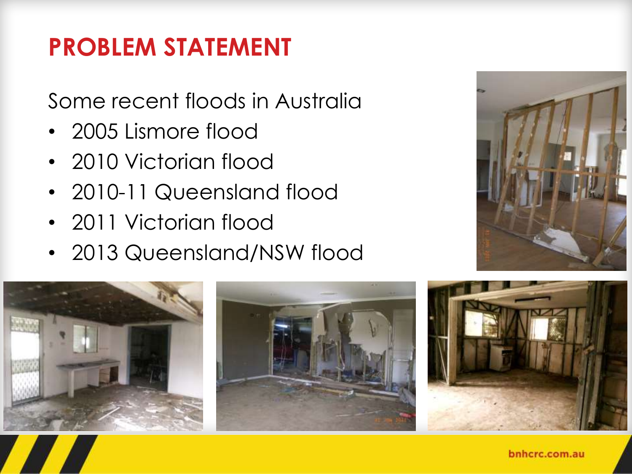### **PROBLEM STATEMENT**

Some recent floods in Australia

- 2005 Lismore flood
- 2010 Victorian flood
- 2010-11 Queensland flood
- 2011 Victorian flood
- 2013 Queensland/NSW flood







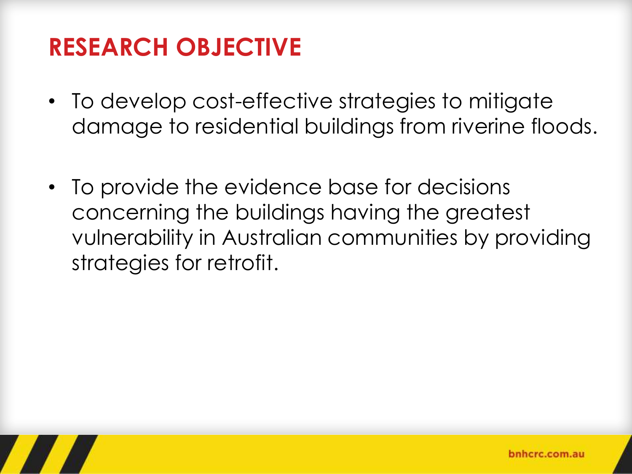### **RESEARCH OBJECTIVE**

- To develop cost-effective strategies to mitigate damage to residential buildings from riverine floods.
- To provide the evidence base for decisions concerning the buildings having the greatest vulnerability in Australian communities by providing strategies for retrofit.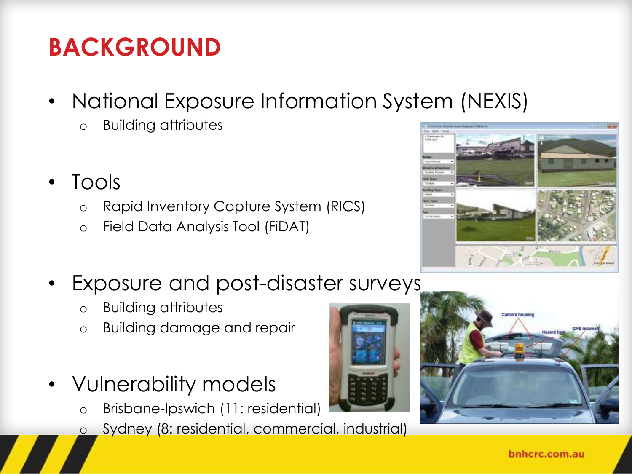## **BACKGROUND**

- National Exposure Information System (NEXIS)
	- o Building attributes
- Tools
	- o Rapid Inventory Capture System (RICS)
	- o Field Data Analysis Tool (FiDAT)
- Exposure and post-disaster surveys
	- o Building attributes
	- o Building damage and repair
- Vulnerability models
	- o Brisbane-Ipswich (11: residential)
	- o Sydney (8: residential, commercial, industrial)





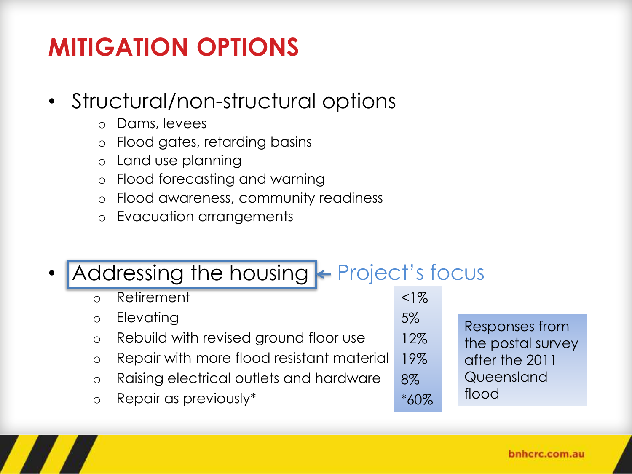## **MITIGATION OPTIONS**

#### • Structural/non-structural options

- o Dams, levees
- o Flood gates, retarding basins
- o Land use planning
- o Flood forecasting and warning
- o Flood awareness, community readiness
- o Evacuation arrangements

#### • Addressing the housing  $\leftarrow$  Project's focus

| <b>o</b> Retirement                         |
|---------------------------------------------|
| <b>o</b> Elevating                          |
| o Rebuild with revised ground floor use     |
| o Repair with more flood resistant material |
| o Raising electrical outlets and hardware   |

o Repair as previously\*

5% 12% 19% 8% \*60% Responses from the postal survey after the 2011 Queensland flood

 $<1%$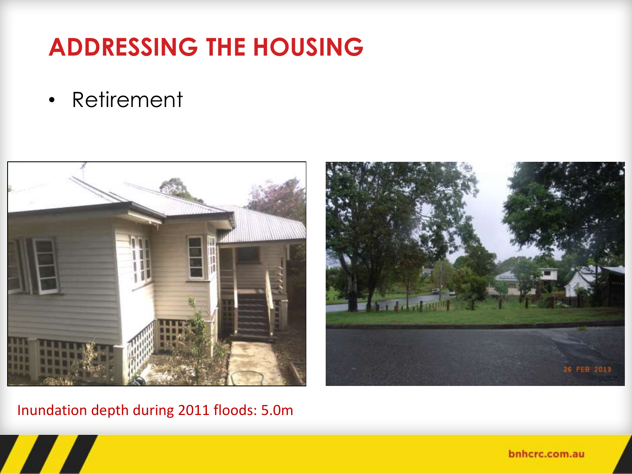• Retirement





Inundation depth during 2011 floods: 5.0m

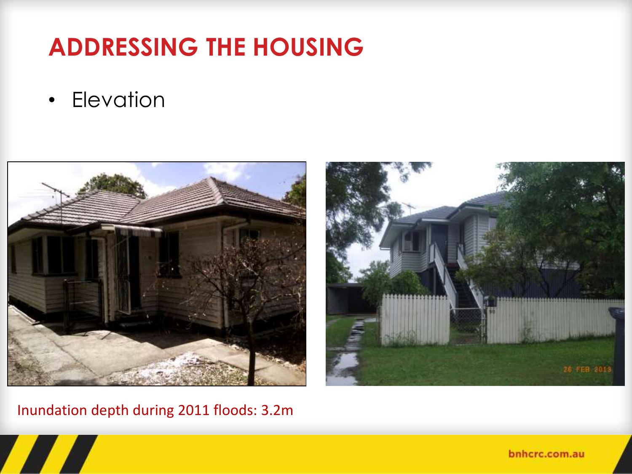• Elevation





Inundation depth during 2011 floods: 3.2m

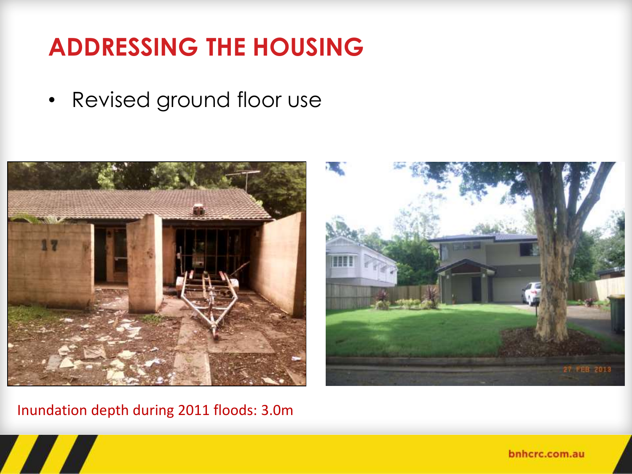• Revised ground floor use





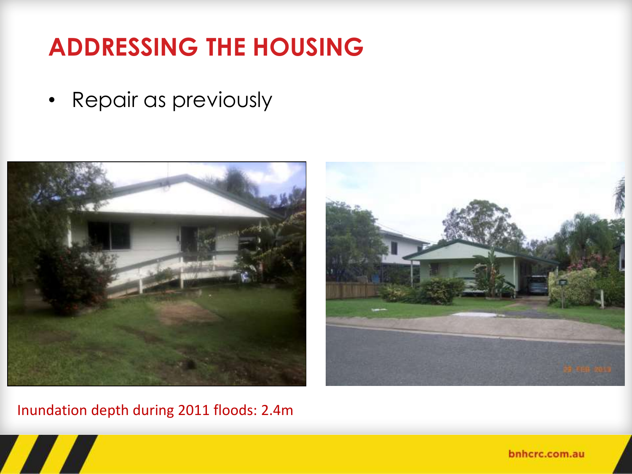• Repair as previously



Inundation depth during 2011 floods: 2.4m



bnhcrc.com.au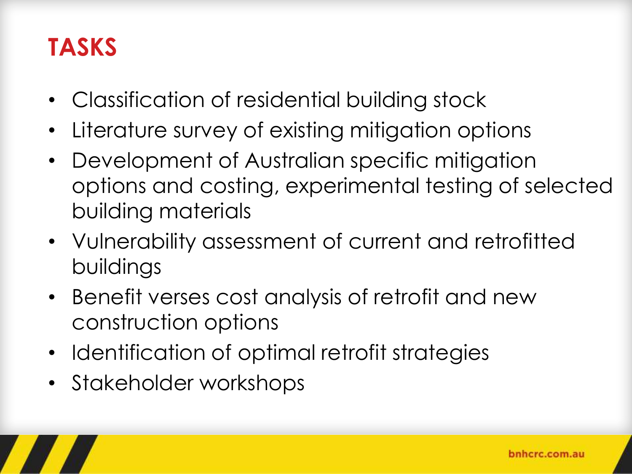#### **TASKS**

- Classification of residential building stock
- Literature survey of existing mitigation options
- Development of Australian specific mitigation options and costing, experimental testing of selected building materials
- Vulnerability assessment of current and retrofitted buildings
- Benefit verses cost analysis of retrofit and new construction options
- Identification of optimal retrofit strategies
- Stakeholder workshops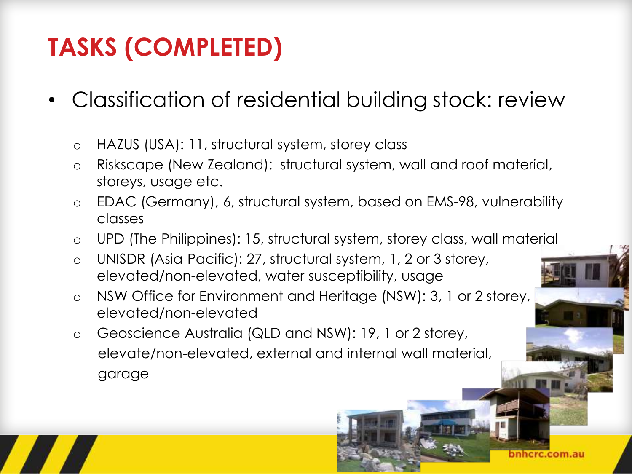# **TASKS (COMPLETED)**

- Classification of residential building stock: review
	- o HAZUS (USA): 11, structural system, storey class
	- o Riskscape (New Zealand): structural system, wall and roof material, storeys, usage etc.
	- o EDAC (Germany), 6, structural system, based on EMS-98, vulnerability classes
	- o UPD (The Philippines): 15, structural system, storey class, wall material

- o UNISDR (Asia-Pacific): 27, structural system, 1, 2 or 3 storey, elevated/non-elevated, water susceptibility, usage
- o NSW Office for Environment and Heritage (NSW): 3, 1 or 2 storey, elevated/non-elevated
- o Geoscience Australia (QLD and NSW): 19, 1 or 2 storey, elevate/non-elevated, external and internal wall material, garage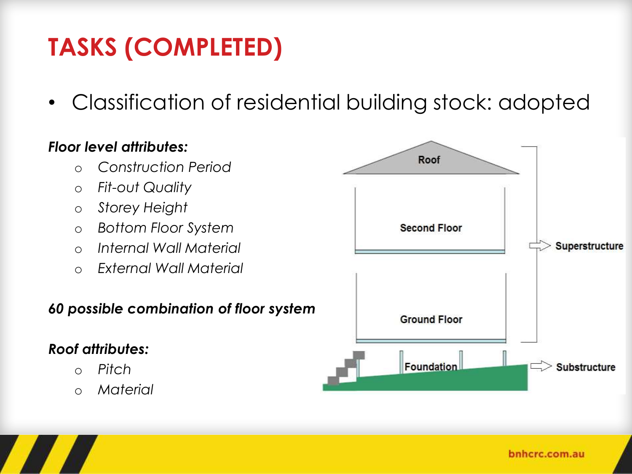# **TASKS (COMPLETED)**

• Classification of residential building stock: adopted

#### *Floor level attributes:*

- o *Construction Period*
- o *Fit-out Quality*
- o *Storey Height*
- o *Bottom Floor System*
- o *Internal Wall Material*
- o *External Wall Material*

#### *60 possible combination of floor system*

#### *Roof attributes:*

- o *Pitch*
- o *Material*

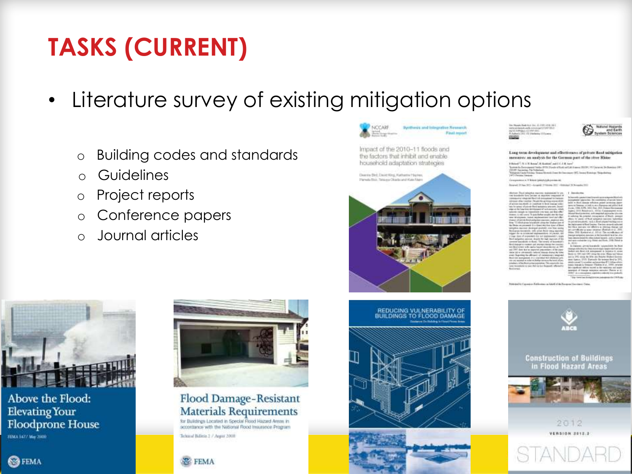## **TASKS (CURRENT)**

- Literature survey of existing mitigation options
	- o Building codes and standards
	- o Guidelines
	- o Project reports
	- o Conference papers
	- o Journal articles

Above the Flood: **Elevating Your Floodprone House** FEMA 3477 May 2100

**B**FEMA



#### Flood Damage-Resistant **Materials Requirements**

for Bulldings Located in Special Road Hazard Areas in accordance with the National Rood Insurance Program Tehnest Billets 2 / Appin 2008





Impact of the 2010-11 floods and the factors that inhibit and enable household adaptation strategies







**Nitural Hugards<br>And Earth**<br>Volum Sciences

#### Lang-term development and effectiveness of private flood suitigation messures: an analysis for the German part of the stree Rhine

the additional and presentation in the the fixed a of fixed and Lake in assoon OEC beautifulation Versions

or a 7 Bries biddebide press in

and (1944-51) - Angels (1956au) (11) - Go

| kelasa (Touri adaptan mairintu trajadokia) (y jya-                                                                    | ٠               |
|-----------------------------------------------------------------------------------------------------------------------|-----------------|
| at brooklaste form (writer of depoters completel) of                                                                  | h               |
| measure construction and the international information.<br>In the first construction of the primary appearance of the |                 |
| active timeland- in continue is fixed timelan vehicle                                                                 | t               |
| a brianci chairm designa annos. Josef-                                                                                |                 |
| are up the force twist institutions of and reproduct which                                                            |                 |
| democraticam in respectivity one start and that effect                                                                |                 |
| sieres. Is ridi untrek Th gute Bathat soughts also the tinal                                                          |                 |
| m Alfabetecht, hond, hobstatting and safety                                                                           | ï               |
| since of private dual and place associates angularity after                                                           |                 |
| a Dinian and postmered. It's a distant data from Artest and Blood-                                                    |                 |
| stantina painteri dendro al graduli, mes tras siarios                                                                 |                 |
| column description and sends have been approved                                                                       |                 |
| gas i de se a tratead sopraventivo. Internati, del<br>(Fax 1933) of corporatests that put testimonists I, boats       |                 |
| and paragraphes mentiones, along the final single engineers and like                                                  |                 |
| ereef bacakok in Rodo, The care is a boomed in                                                                        | ä               |
| call data nell specific rearrors and increased that                                                                   |                 |
| Hiller's well-as to have decree at 1991                                                                               |                 |
| a 2007 date that as imported interestings of the pure-<br>aix ibi e creasailtí telerial liasca duine fu trier         |                 |
| air. Teaming the affirmat: of consecution language                                                                    |                 |
| nd tilk averagencet. It is reachabled this indicated gets.                                                            |                 |
| in any success in a dark of Arther Anniversity leveral of any                                                         |                 |
| relativ triba Rold Life populates. This associate into                                                                | <b>********</b> |
| an bookball is new that as his faderate affected in                                                                   |                 |
| <b>HOWAGE</b>                                                                                                         |                 |





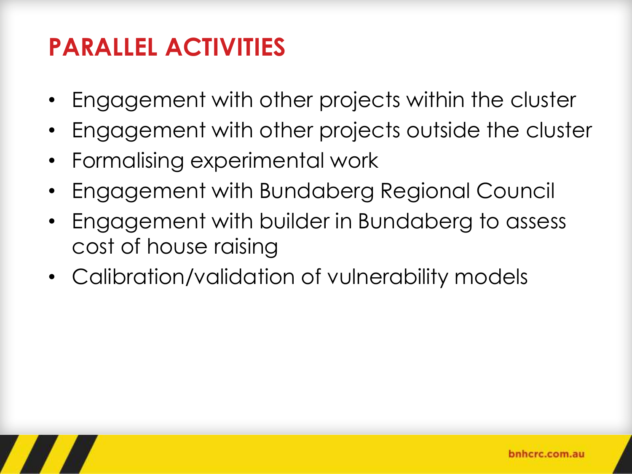### **PARALLEL ACTIVITIES**

- Engagement with other projects within the cluster
- Engagement with other projects outside the cluster
- Formalising experimental work
- Engagement with Bundaberg Regional Council
- Engagement with builder in Bundaberg to assess cost of house raising
- Calibration/validation of vulnerability models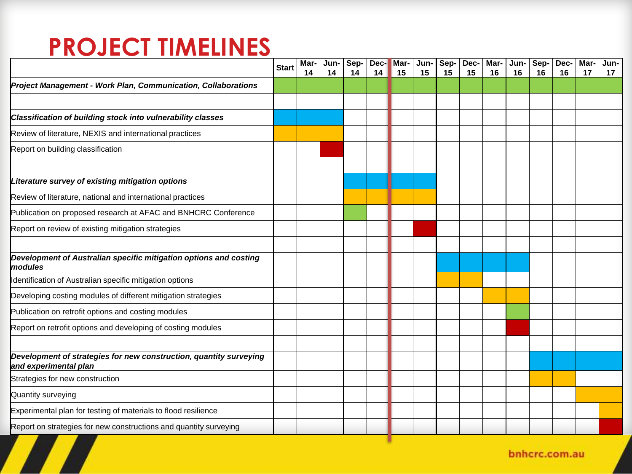#### **PROJECT TIMELINES**

|                                                                                             | <b>Start</b> | Mar-<br>14 | Jun-<br>14 | Sep-<br>14 | Dec-<br>14 | Mar-<br>15 | Jun-<br>15 | Sep-<br>15 | Dec-<br>15 | Mar-<br>16 | Jun-<br>16 | Sep-<br>16 | Dec-<br>16 | Mar-<br>17 | Jun-<br>17 |
|---------------------------------------------------------------------------------------------|--------------|------------|------------|------------|------------|------------|------------|------------|------------|------------|------------|------------|------------|------------|------------|
| Project Management - Work Plan, Communication, Collaborations                               |              |            |            |            |            |            |            |            |            |            |            |            |            |            |            |
|                                                                                             |              |            |            |            |            |            |            |            |            |            |            |            |            |            |            |
| Classification of building stock into vulnerability classes                                 |              |            |            |            |            |            |            |            |            |            |            |            |            |            |            |
| Review of literature, NEXIS and international practices                                     |              |            |            |            |            |            |            |            |            |            |            |            |            |            |            |
| Report on building classification                                                           |              |            |            |            |            |            |            |            |            |            |            |            |            |            |            |
| Literature survey of existing mitigation options                                            |              |            |            |            |            |            |            |            |            |            |            |            |            |            |            |
| Review of literature, national and international practices                                  |              |            |            |            |            |            |            |            |            |            |            |            |            |            |            |
| Publication on proposed research at AFAC and BNHCRC Conference                              |              |            |            |            |            |            |            |            |            |            |            |            |            |            |            |
| Report on review of existing mitigation strategies                                          |              |            |            |            |            |            |            |            |            |            |            |            |            |            |            |
| Development of Australian specific mitigation options and costing<br>lmodules               |              |            |            |            |            |            |            |            |            |            |            |            |            |            |            |
| Identification of Australian specific mitigation options                                    |              |            |            |            |            |            |            |            |            |            |            |            |            |            |            |
| Developing costing modules of different mitigation strategies                               |              |            |            |            |            |            |            |            |            |            |            |            |            |            |            |
| Publication on retrofit options and costing modules                                         |              |            |            |            |            |            |            |            |            |            |            |            |            |            |            |
| Report on retrofit options and developing of costing modules                                |              |            |            |            |            |            |            |            |            |            |            |            |            |            |            |
| Development of strategies for new construction, quantity surveying<br>and experimental plan |              |            |            |            |            |            |            |            |            |            |            |            |            |            |            |
| Strategies for new construction                                                             |              |            |            |            |            |            |            |            |            |            |            |            |            |            |            |
| Quantity surveying                                                                          |              |            |            |            |            |            |            |            |            |            |            |            |            |            |            |
| Experimental plan for testing of materials to flood resilience                              |              |            |            |            |            |            |            |            |            |            |            |            |            |            |            |
| Report on strategies for new constructions and quantity surveying                           |              |            |            |            |            |            |            |            |            |            |            |            |            |            |            |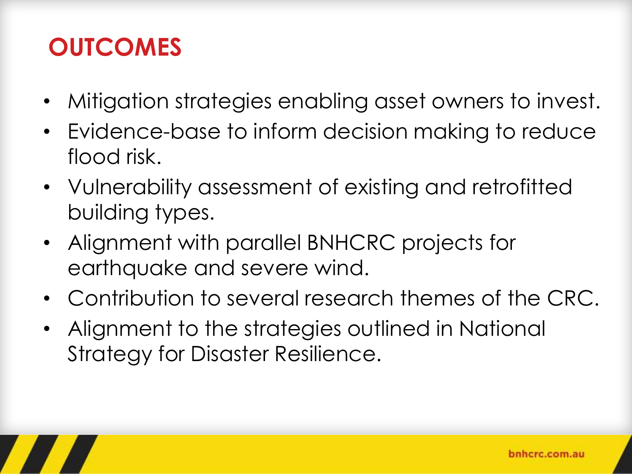#### **OUTCOMES**

- Mitigation strategies enabling asset owners to invest.
- Evidence-base to inform decision making to reduce flood risk.
- Vulnerability assessment of existing and retrofitted building types.
- Alignment with parallel BNHCRC projects for earthquake and severe wind.
- Contribution to several research themes of the CRC.
- Alignment to the strategies outlined in National Strategy for Disaster Resilience.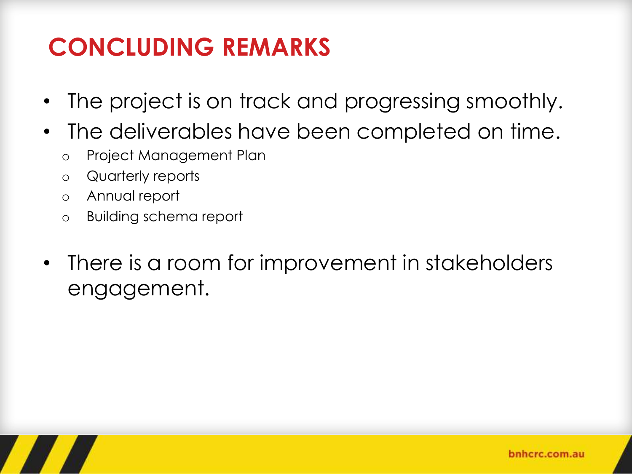## **CONCLUDING REMARKS**

- The project is on track and progressing smoothly.
- The deliverables have been completed on time.
	- o Project Management Plan
	- o Quarterly reports
	- o Annual report
	- o Building schema report
- There is a room for improvement in stakeholders engagement.

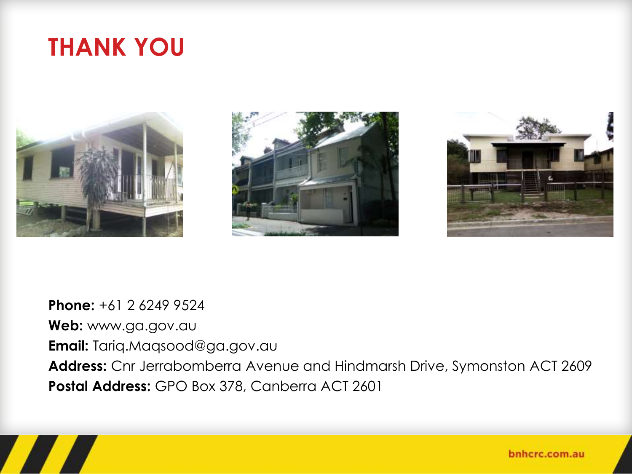#### **THANK YOU**







**Phone:** +61 2 6249 9524 **Web:** www.ga.gov.au **Email:** Tariq.Maqsood@ga.gov.au **Address:** Cnr Jerrabomberra Avenue and Hindmarsh Drive, Symonston ACT 2609 **Postal Address:** GPO Box 378, Canberra ACT 2601